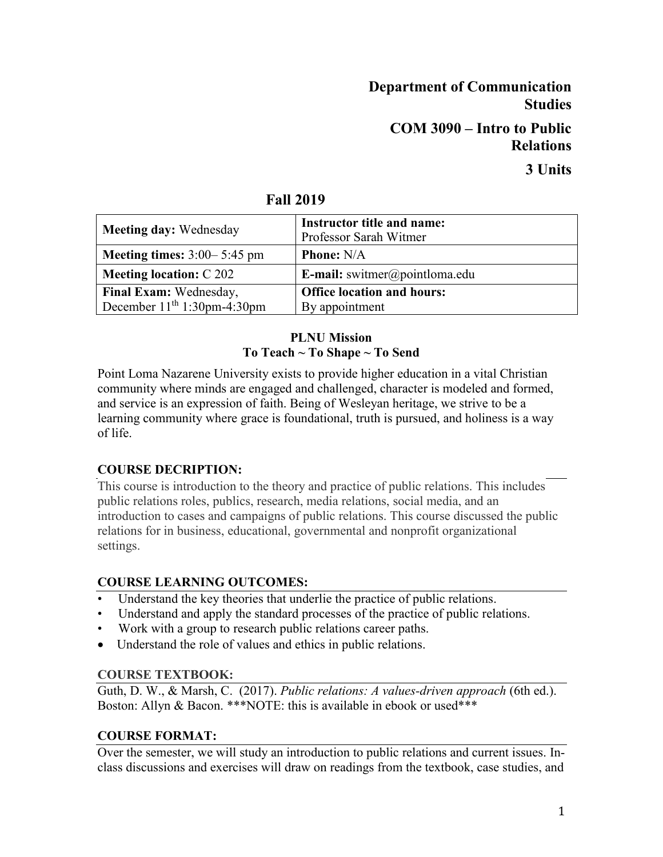# **Department of Communication Studies COM 3090 – Intro to Public Relations**

# **3 Units**

| <b>Meeting day: Wednesday</b>        | Instructor title and name:<br>Professor Sarah Witmer |
|--------------------------------------|------------------------------------------------------|
| <b>Meeting times:</b> $3:00-5:45$ pm | <b>Phone:</b> N/A                                    |
| <b>Meeting location: C 202</b>       | <b>E-mail:</b> switmer@pointloma.edu                 |
| Final Exam: Wednesday,               | <b>Office location and hours:</b>                    |
| December $11th 1:30$ pm-4:30pm       | By appointment                                       |

### **Fall 2019**

#### **PLNU Mission To Teach ~ To Shape ~ To Send**

Point Loma Nazarene University exists to provide higher education in a vital Christian community where minds are engaged and challenged, character is modeled and formed, and service is an expression of faith. Being of Wesleyan heritage, we strive to be a learning community where grace is foundational, truth is pursued, and holiness is a way of life.

## **COURSE DECRIPTION:**

This course is introduction to the theory and practice of public relations. This includes public relations roles, publics, research, media relations, social media, and an introduction to cases and campaigns of public relations. This course discussed the public relations for in business, educational, governmental and nonprofit organizational settings.

## **COURSE LEARNING OUTCOMES:**

- Understand the key theories that underlie the practice of public relations.
- Understand and apply the standard processes of the practice of public relations.
- Work with a group to research public relations career paths.
- Understand the role of values and ethics in public relations.

#### **COURSE TEXTBOOK:**

Guth, D. W., & Marsh, C. (2017). *Public relations: A values-driven approach* (6th ed.). Boston: Allyn & Bacon. \*\*\*NOTE: this is available in ebook or used\*\*\*

#### **COURSE FORMAT:**

Over the semester, we will study an introduction to public relations and current issues. Inclass discussions and exercises will draw on readings from the textbook, case studies, and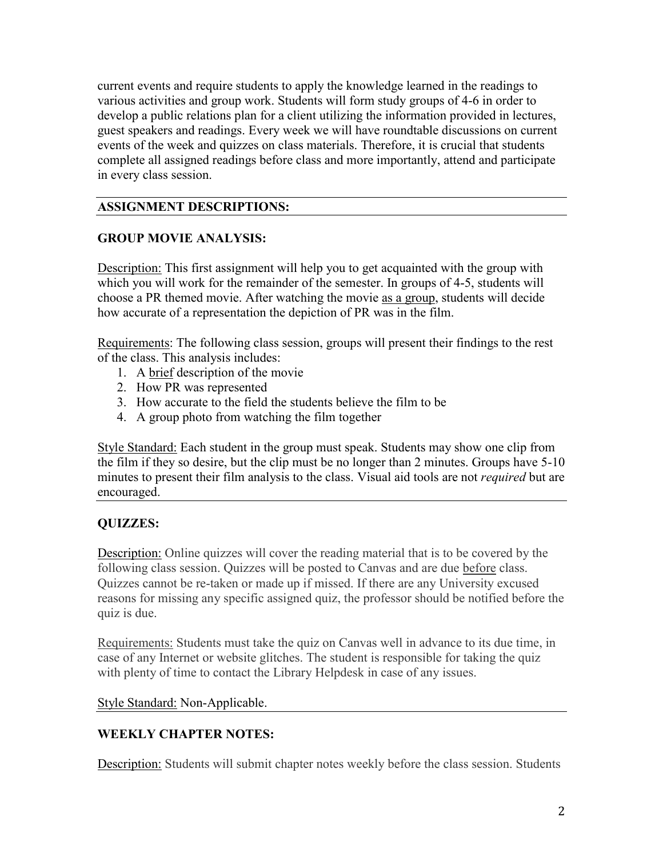current events and require students to apply the knowledge learned in the readings to various activities and group work. Students will form study groups of 4-6 in order to develop a public relations plan for a client utilizing the information provided in lectures, guest speakers and readings. Every week we will have roundtable discussions on current events of the week and quizzes on class materials. Therefore, it is crucial that students complete all assigned readings before class and more importantly, attend and participate in every class session.

#### **ASSIGNMENT DESCRIPTIONS:**

#### **GROUP MOVIE ANALYSIS:**

Description: This first assignment will help you to get acquainted with the group with which you will work for the remainder of the semester. In groups of 4-5, students will choose a PR themed movie. After watching the movie as a group, students will decide how accurate of a representation the depiction of PR was in the film.

Requirements: The following class session, groups will present their findings to the rest of the class. This analysis includes:

- 1. A brief description of the movie
- 2. How PR was represented
- 3. How accurate to the field the students believe the film to be
- 4. A group photo from watching the film together

Style Standard: Each student in the group must speak. Students may show one clip from the film if they so desire, but the clip must be no longer than 2 minutes. Groups have 5-10 minutes to present their film analysis to the class. Visual aid tools are not *required* but are encouraged.

#### **QUIZZES:**

**Description:** Online quizzes will cover the reading material that is to be covered by the following class session. Quizzes will be posted to Canvas and are due before class. Quizzes cannot be re-taken or made up if missed. If there are any University excused reasons for missing any specific assigned quiz, the professor should be notified before the quiz is due.

Requirements: Students must take the quiz on Canvas well in advance to its due time, in case of any Internet or website glitches. The student is responsible for taking the quiz with plenty of time to contact the Library Helpdesk in case of any issues.

Style Standard: Non-Applicable.

#### **WEEKLY CHAPTER NOTES:**

**Description:** Students will submit chapter notes weekly before the class session. Students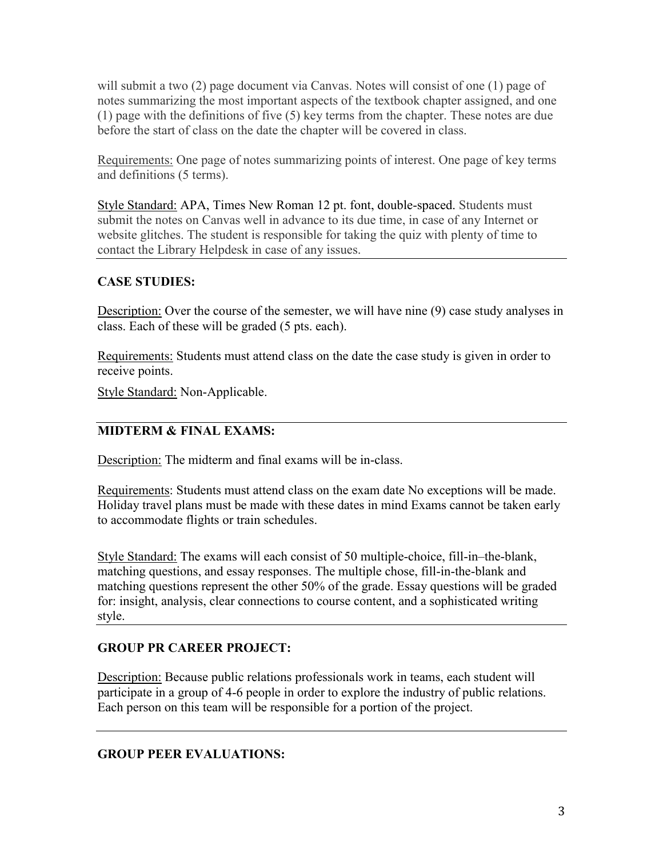will submit a two (2) page document via Canvas. Notes will consist of one (1) page of notes summarizing the most important aspects of the textbook chapter assigned, and one (1) page with the definitions of five (5) key terms from the chapter. These notes are due before the start of class on the date the chapter will be covered in class.

Requirements: One page of notes summarizing points of interest. One page of key terms and definitions (5 terms).

Style Standard: APA, Times New Roman 12 pt. font, double-spaced. Students must submit the notes on Canvas well in advance to its due time, in case of any Internet or website glitches. The student is responsible for taking the quiz with plenty of time to contact the Library Helpdesk in case of any issues.

#### **CASE STUDIES:**

Description: Over the course of the semester, we will have nine (9) case study analyses in class. Each of these will be graded (5 pts. each).

Requirements: Students must attend class on the date the case study is given in order to receive points.

Style Standard: Non-Applicable.

#### **MIDTERM & FINAL EXAMS:**

Description: The midterm and final exams will be in-class.

Requirements: Students must attend class on the exam date No exceptions will be made. Holiday travel plans must be made with these dates in mind Exams cannot be taken early to accommodate flights or train schedules.

Style Standard: The exams will each consist of 50 multiple-choice, fill-in–the-blank, matching questions, and essay responses. The multiple chose, fill-in-the-blank and matching questions represent the other 50% of the grade. Essay questions will be graded for: insight, analysis, clear connections to course content, and a sophisticated writing style.

#### **GROUP PR CAREER PROJECT:**

Description: Because public relations professionals work in teams, each student will participate in a group of 4-6 people in order to explore the industry of public relations. Each person on this team will be responsible for a portion of the project.

#### **GROUP PEER EVALUATIONS:**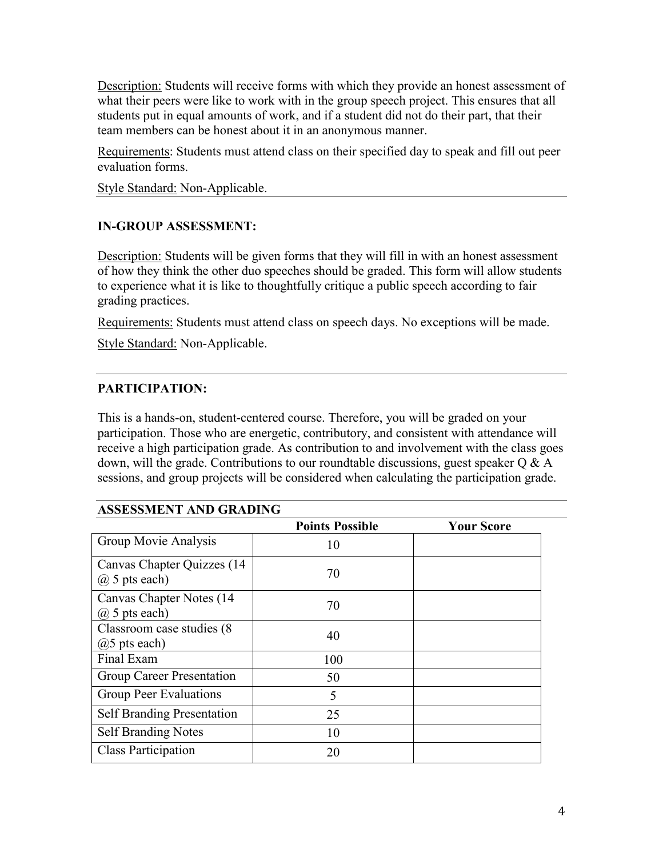**Description:** Students will receive forms with which they provide an honest assessment of what their peers were like to work with in the group speech project. This ensures that all students put in equal amounts of work, and if a student did not do their part, that their team members can be honest about it in an anonymous manner.

Requirements: Students must attend class on their specified day to speak and fill out peer evaluation forms.

Style Standard: Non-Applicable.

## **IN-GROUP ASSESSMENT:**

Description: Students will be given forms that they will fill in with an honest assessment of how they think the other duo speeches should be graded. This form will allow students to experience what it is like to thoughtfully critique a public speech according to fair grading practices.

Requirements: Students must attend class on speech days. No exceptions will be made.

Style Standard: Non-Applicable.

#### **PARTICIPATION:**

This is a hands-on, student-centered course. Therefore, you will be graded on your participation. Those who are energetic, contributory, and consistent with attendance will receive a high participation grade. As contribution to and involvement with the class goes down, will the grade. Contributions to our roundtable discussions, guest speaker  $Q \& A$ sessions, and group projects will be considered when calculating the participation grade.

#### **ASSESSMENT AND GRADING**

|                                                 | <b>Points Possible</b> | <b>Your Score</b> |
|-------------------------------------------------|------------------------|-------------------|
| Group Movie Analysis                            | 10                     |                   |
| Canvas Chapter Quizzes (14<br>$(a)$ 5 pts each) | 70                     |                   |
| Canvas Chapter Notes (14)<br>$(a)$ 5 pts each)  | 70                     |                   |
| Classroom case studies (8)<br>$(a)$ 5 pts each) | 40                     |                   |
| Final Exam                                      | 100                    |                   |
| Group Career Presentation                       | 50                     |                   |
| Group Peer Evaluations                          | 5                      |                   |
| <b>Self Branding Presentation</b>               | 25                     |                   |
| <b>Self Branding Notes</b>                      | 10                     |                   |
| <b>Class Participation</b>                      | 20                     |                   |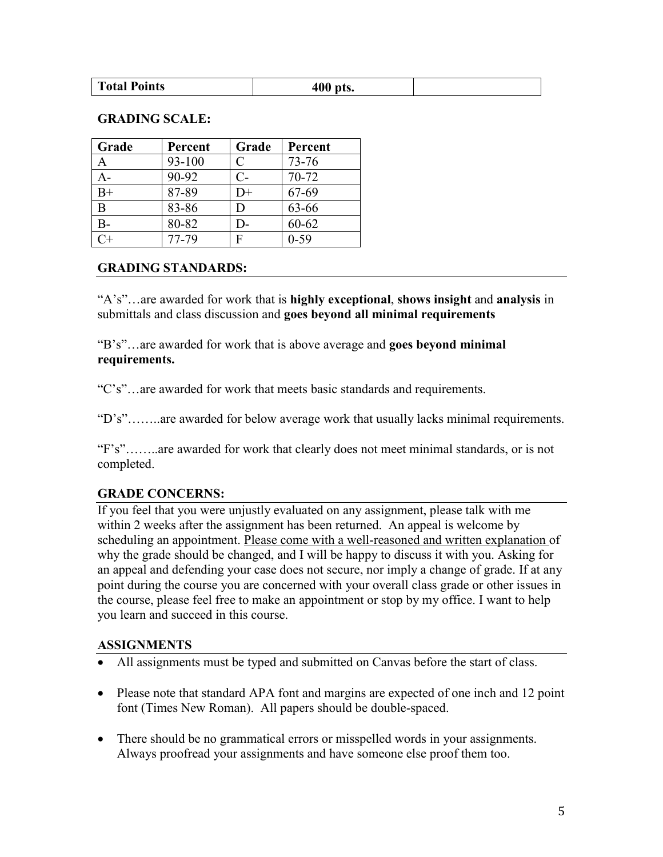#### **GRADING SCALE:**

| Grade | Percent | Grade        | Percent   |
|-------|---------|--------------|-----------|
|       | 93-100  | $\mathsf{C}$ | $73 - 76$ |
| А-    | 90-92   | $C-$         | 70-72     |
| $B+$  | 87-89   | $D+$         | 67-69     |
| B     | 83-86   | D            | 63-66     |
| В-    | 80-82   | D-           | $60 - 62$ |
|       | 77-79   | F            | $0 - 59$  |

#### **GRADING STANDARDS:**

"A's"…are awarded for work that is **highly exceptional**, **shows insight** and **analysis** in submittals and class discussion and **goes beyond all minimal requirements** 

"B's"…are awarded for work that is above average and **goes beyond minimal requirements.**

"C's"…are awarded for work that meets basic standards and requirements.

"D's"……..are awarded for below average work that usually lacks minimal requirements.

"F's"……..are awarded for work that clearly does not meet minimal standards, or is not completed.

#### **GRADE CONCERNS:**

If you feel that you were unjustly evaluated on any assignment, please talk with me within 2 weeks after the assignment has been returned. An appeal is welcome by scheduling an appointment. Please come with a well-reasoned and written explanation of why the grade should be changed, and I will be happy to discuss it with you. Asking for an appeal and defending your case does not secure, nor imply a change of grade. If at any point during the course you are concerned with your overall class grade or other issues in the course, please feel free to make an appointment or stop by my office. I want to help you learn and succeed in this course.

#### **ASSIGNMENTS**

- All assignments must be typed and submitted on Canvas before the start of class.
- Please note that standard APA font and margins are expected of one inch and 12 point font (Times New Roman). All papers should be double-spaced.
- There should be no grammatical errors or misspelled words in your assignments. Always proofread your assignments and have someone else proof them too.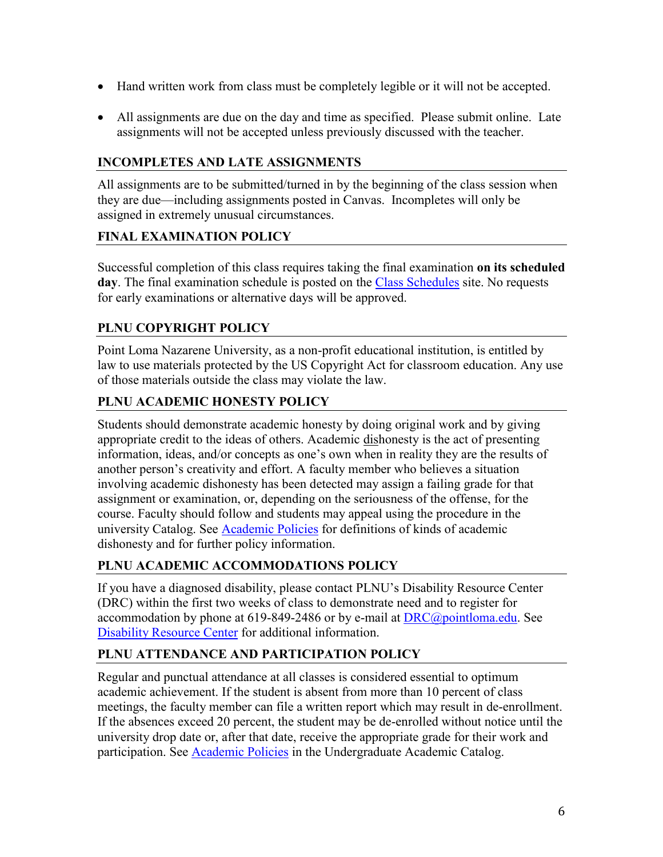- Hand written work from class must be completely legible or it will not be accepted.
- All assignments are due on the day and time as specified. Please submit online. Late assignments will not be accepted unless previously discussed with the teacher.

## **INCOMPLETES AND LATE ASSIGNMENTS**

All assignments are to be submitted/turned in by the beginning of the class session when they are due—including assignments posted in Canvas. Incompletes will only be assigned in extremely unusual circumstances.

## **FINAL EXAMINATION POLICY**

Successful completion of this class requires taking the final examination **on its scheduled day**. The final examination schedule is posted on the [Class Schedules](http://www.pointloma.edu/experience/academics/class-schedules) site. No requests for early examinations or alternative days will be approved.

# **PLNU COPYRIGHT POLICY**

Point Loma Nazarene University, as a non-profit educational institution, is entitled by law to use materials protected by the US Copyright Act for classroom education. Any use of those materials outside the class may violate the law.

# **PLNU ACADEMIC HONESTY POLICY**

Students should demonstrate academic honesty by doing original work and by giving appropriate credit to the ideas of others. Academic dishonesty is the act of presenting information, ideas, and/or concepts as one's own when in reality they are the results of another person's creativity and effort. A faculty member who believes a situation involving academic dishonesty has been detected may assign a failing grade for that assignment or examination, or, depending on the seriousness of the offense, for the course. Faculty should follow and students may appeal using the procedure in the university Catalog. See **Academic Policies** for definitions of kinds of academic dishonesty and for further policy information.

# **PLNU ACADEMIC ACCOMMODATIONS POLICY**

If you have a diagnosed disability, please contact PLNU's Disability Resource Center (DRC) within the first two weeks of class to demonstrate need and to register for accommodation by phone at 619-849-2486 or by e-mail at  $DRC@pointloma.edu$ . See [Disability Resource Center](http://www.pointloma.edu/experience/offices/administrative-offices/academic-advising-office/disability-resource-center) for additional information.

# **PLNU ATTENDANCE AND PARTICIPATION POLICY**

Regular and punctual attendance at all classes is considered essential to optimum academic achievement. If the student is absent from more than 10 percent of class meetings, the faculty member can file a written report which may result in de-enrollment. If the absences exceed 20 percent, the student may be de-enrolled without notice until the university drop date or, after that date, receive the appropriate grade for their work and participation. See [Academic Policies](http://catalog.pointloma.edu/content.php?catoid=18&navoid=1278) in the Undergraduate Academic Catalog.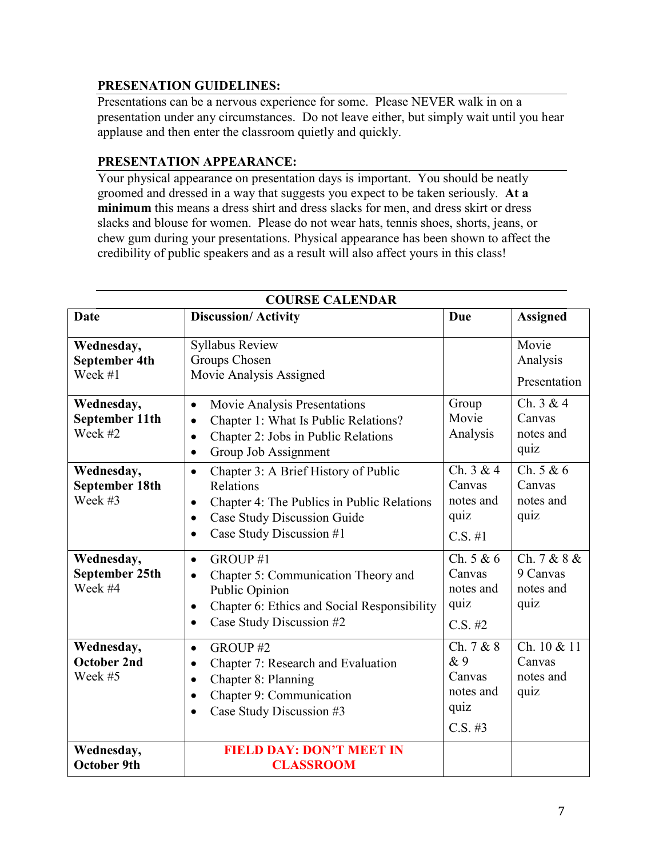#### **PRESENATION GUIDELINES:**

Presentations can be a nervous experience for some. Please NEVER walk in on a presentation under any circumstances. Do not leave either, but simply wait until you hear applause and then enter the classroom quietly and quickly.

#### **PRESENTATION APPEARANCE:**

Your physical appearance on presentation days is important. You should be neatly groomed and dressed in a way that suggests you expect to be taken seriously. **At a minimum** this means a dress shirt and dress slacks for men, and dress skirt or dress slacks and blouse for women. Please do not wear hats, tennis shoes, shorts, jeans, or chew gum during your presentations. Physical appearance has been shown to affect the credibility of public speakers and as a result will also affect yours in this class!

| <b>COURSE CALENDAR</b>                         |                                                                                                                                                                                                                       |                                                               |                                              |
|------------------------------------------------|-----------------------------------------------------------------------------------------------------------------------------------------------------------------------------------------------------------------------|---------------------------------------------------------------|----------------------------------------------|
| Date                                           | <b>Discussion/Activity</b>                                                                                                                                                                                            | <b>Due</b>                                                    | <b>Assigned</b>                              |
| Wednesday,<br><b>September 4th</b><br>Week #1  | <b>Syllabus Review</b><br>Groups Chosen<br>Movie Analysis Assigned                                                                                                                                                    |                                                               | Movie<br>Analysis<br>Presentation            |
| Wednesday,<br>September 11th<br>Week #2        | Movie Analysis Presentations<br>$\bullet$<br>Chapter 1: What Is Public Relations?<br>$\bullet$<br>Chapter 2: Jobs in Public Relations<br>$\bullet$<br>Group Job Assignment<br>$\bullet$                               | Group<br>Movie<br>Analysis                                    | Ch. $3 & 4$<br>Canvas<br>notes and<br>quiz   |
| Wednesday,<br>September 18th<br>Week #3        | Chapter 3: A Brief History of Public<br>$\bullet$<br>Relations<br>Chapter 4: The Publics in Public Relations<br>$\bullet$<br><b>Case Study Discussion Guide</b><br>$\bullet$<br>Case Study Discussion #1<br>$\bullet$ | Ch. $3 & 4$<br>Canvas<br>notes and<br>quiz<br>$C.S. \#1$      | Ch. 5 & 6<br>Canvas<br>notes and<br>quiz     |
| Wednesday,<br><b>September 25th</b><br>Week #4 | GROUP#1<br>$\bullet$<br>Chapter 5: Communication Theory and<br>$\bullet$<br>Public Opinion<br>Chapter 6: Ethics and Social Responsibility<br>$\bullet$<br>Case Study Discussion #2<br>$\bullet$                       | Ch. $5 & 6$<br>Canvas<br>notes and<br>quiz<br>$C.S. \#2$      | Ch. 7 & 8 &<br>9 Canvas<br>notes and<br>quiz |
| Wednesday,<br><b>October 2nd</b><br>Week #5    | GROUP#2<br>$\bullet$<br>Chapter 7: Research and Evaluation<br>$\bullet$<br>Chapter 8: Planning<br>$\bullet$<br>Chapter 9: Communication<br>$\bullet$<br>Case Study Discussion #3<br>$\bullet$                         | Ch. 7 & 8<br>& 9<br>Canvas<br>notes and<br>quiz<br>$C.S. \#3$ | Ch. 10 & 11<br>Canvas<br>notes and<br>quiz   |
| Wednesday,<br><b>October 9th</b>               | <b>FIELD DAY: DON'T MEET IN</b><br><b>CLASSROOM</b>                                                                                                                                                                   |                                                               |                                              |